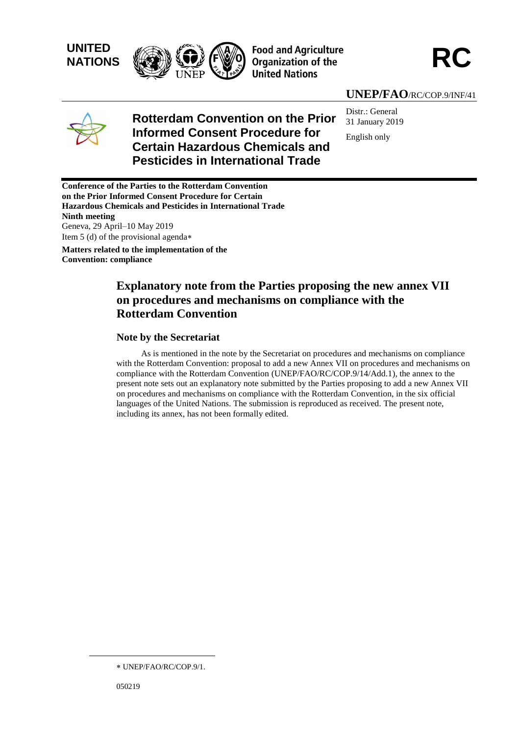





## **UNEP/FAO**/RC/COP.9/INF/41



# **Rotterdam Convention on the Prior Informed Consent Procedure for Certain Hazardous Chemicals and Pesticides in International Trade**

Distr.: General 31 January 2019 English only

**Conference of the Parties to the Rotterdam Convention on the Prior Informed Consent Procedure for Certain Hazardous Chemicals and Pesticides in International Trade Ninth meeting** Geneva, 29 April–10 May 2019 Item 5 (d) of the provisional agenda

**Matters related to the implementation of the Convention: compliance**

# **Explanatory note from the Parties proposing the new annex VII on procedures and mechanisms on compliance with the Rotterdam Convention**

### **Note by the Secretariat**

As is mentioned in the note by the Secretariat on procedures and mechanisms on compliance with the Rotterdam Convention: proposal to add a new Annex VII on procedures and mechanisms on compliance with the Rotterdam Convention (UNEP/FAO/RC/COP.9/14/Add.1), the annex to the present note sets out an explanatory note submitted by the Parties proposing to add a new Annex VII on procedures and mechanisms on compliance with the Rotterdam Convention, in the six official languages of the United Nations. The submission is reproduced as received. The present note, including its annex, has not been formally edited.

l

UNEP/FAO/RC/COP.9/1.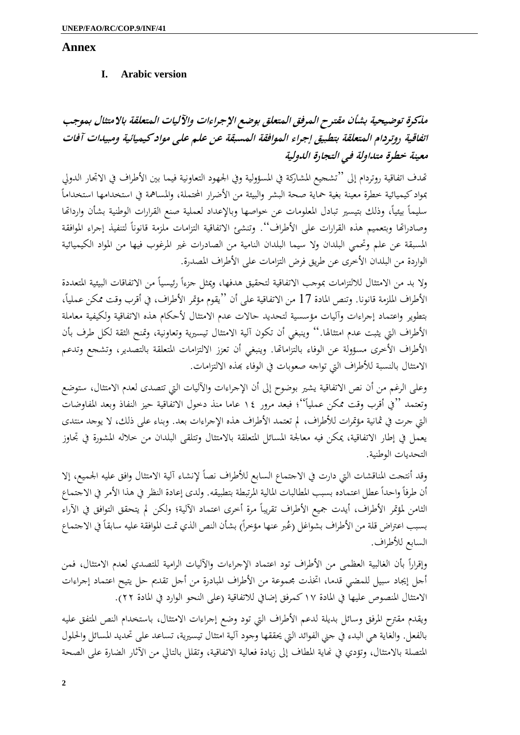## **Annex**

## **I. Arabic version**

**مذكرة توضيحية بشأن مقترح المرفق المتعلق بوضع اإلجراءات واآلليات المتعلقة باالمتثال بموجب اتفاقية روتردام المتعلقة بتطبيق إجراء الموافقة المسبقة عن علم على مواد كيميائية ومبيدات آفات معينة خطرة متداولة في التجارة الدولية**

هتدف اتفاقية روتردام إىل "تشجيع املشاركة يف املسؤولية ويف اجلهود التعاونية فيما بني األطراف يف االجتار الدويل  $\overline{a}$ مبواد كيميائية خطرة معينة بغية محاية صحة البشر والبيئة من األضرار احملتملة، واملسامهة يف استخدامها استخداما سليماً بيئياً، وذلك بتيسير تبادل المعلومات عن حواصها وبالإعداد لعملية صنع القرارات الوطنية بشأن وارداتحا وصادراتها وبتعميم هذه القرارات على الأطراف''. وتنشئ الاتفاقية التزامات ملزمة قانوناً لتنفيذ إجراء الموافقة املسبقة عن علم وحتمي البلدان وال سيما البلدان النامية من الصادرات غري املرغوب فيها من املواد الكيميائية الواردة من البلدان الأخرى عن طريق فرض التزامات على الأطراف المصدرة.

ولا بد من الامتثال للالتزامات بموجب الاتفاقية لتحقيق هدفها، ويمثل جزءاً رئيسياً من الاتفاقات البيئية المتعددة الأطراف الملزمة قانونا. وتنص المادة 17 من الاتفاقية على أن ''يقوم مؤتمر الأطراف، في أقرب وقت ممكن عملياً، بتطوير واعتماد إجراءات وآليات مؤسسية لتحديد حاالت عدم االمتثال ألحكام هذه االتفاقية ولكيفية معاملة الأطراف التي يثبت عدم امتثالها.'' وينبغي أن تكون آلية الامتثال تيسيرية وتعاونية، وتمنح الثقة لكل طرف بأن األطراف األخرى مسؤولة عن الوفاء بالتزاماهتا. وينبغي أن تعزز االلتزامات املتعلقة بالتصدير، وتشجع وتدعم االمتثال بالنسبة لألطراف اليت تواجه صعوبات يف الوفاء هبذه االلتزامات.

وعلى الرغم من أن نص الاتفاقية يشير بوضوح إلى أن الإجراءات والآليات التي تتصدى لعدم الامتثال، ستوضع وتعتمد ''في أقرب وقت ممكن عملياً''؛ فبعد مرور ١٤ عاما منذ دخول الاتفاقية حيز النفاذ وبعد المفاوضات التي جرت في ثمانية مؤتمرات للأطراف، لم تعتمد الأطراف هذه الإجراءات بعد. وبناء على ذلك، لا يوجد منتدى يعمل في إطار الاتفاقية، يمكن فيه معالجة المسائل المتعلقة بالامتثال وتتلقى البلدان من خلاله المشورة في تجاوز التحديات الوطنية.

وقد أنتجت المناقشات التي دارت في الاجتماع السابع للأطراف نصاً لإنشاء آلية الامتثال وافق عليه الجميع، إلا أن طرفاً واحداً عطل اعتماده بسبب المطالبات المالية المرتبطة بتطبيقه. ولدى إعادة النظر في هذا الأمر في الاجتماع الثامن لمؤتمر الأطراف، أيدت جميع الأطراف تقريباً مرة أخرى اعتماد الآلية؛ ولكن لم يتحقق التوافق في الآراء بسبب اعتراض قلة من الأطراف بشواغل (عُبر عنها مؤخراً) بشأن النص الذي تمت الموافقة عليه سابقاً في الاجتماع<br>. السابع لألطراف.

وإقراراً بأن الغالبية العظمى من الأطراف تود اعتماد الإجراءات والآليات الرامية للتصدي لعدم الامتثال، فمن ا<br>ا أجل إيجاد سبيل للمضي قدما، اتخذت مجموعة من الأطراف المبادرة من أجل تقديم حل يتيح اعتماد إجراءات الامتثال المنصوص عليها في المادة ١٧ كمرفق إضافي للاتفاقية (على النحو الوارد في المادة ٢٢).

ويقدم مقرتح املرفق وسائل بديلة لدعم األطراف اليت تود وضع إجراءات االمتثال، باستخدام النص املتفق عليه بالفعل. والغاية هي البدء يف جين الفوائد اليت حيققها وجود آلية امتثال تيسريية، تساعد على حتديد املسائل واحللول المتصلة بالامتثال، وتؤدي في نماية المطاف إلى زيادة فعالية الاتفاقية، وتقلل بالتالي من الآثار الضارة على الصحة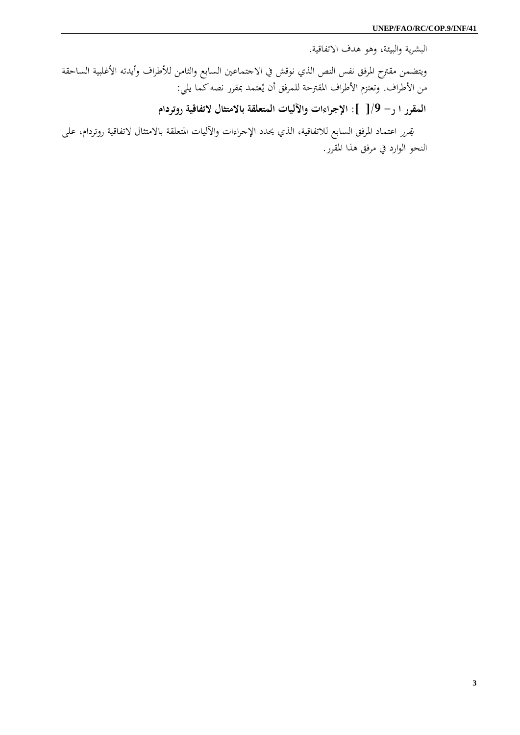البشرية والبيئة، وهو هدف االتفاقية.

ويتضمن مقرتح املرفق نفس النص الذي نوقش يف االجتماعني السابع والثامن لألطراف وأيدته األغلبية الساحقة من الأطراف. وتعتزم الأطراف المقترحة للمرفق أن يُعتمد بمقرر نصه كما يلي:

**المقرر ا ر- /9[ ]: اإلجراءات واآلليات المتعلقة باالمتثال التفاقية روتردام**

يقرر اعتماد املرفق السابع لالتفاقية، الذي حيدد اإلجراءات واآلليات املتعلقة باالمتثال التفاقية روتردام، على النحو الوارد يف مرفق هذا املقرر.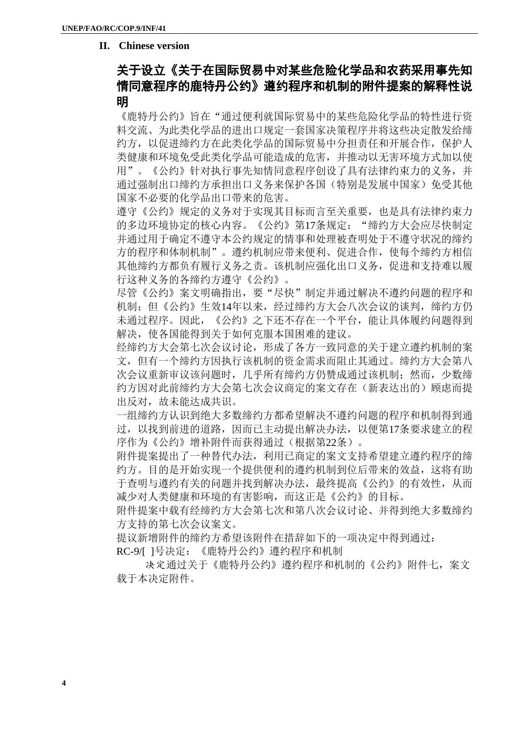### **II. Chinese version**

# 关于设立《关于在国际贸易中对某些危险化学品和农药采用事先知 情同意程序的鹿特丹公约》遵约程序和机制的附件提案的解释性说 明

《鹿特丹公约》旨在"通过便利就国际贸易中的某些危险化学品的特性进行资 料交流、为此类化学品的进出口规定一套国家决策程序并将这些决定散发给缔 约方,以促进缔约方在此类化学品的国际贸易中分担责任和开展合作,保护人 类健康和环境免受此类化学品可能造成的危害,并推动以无害环境方式加以使 用"。《公约》针对执行事先知情同意程序创设了具有法律约束力的义务,并 通过强制出口缔约方承担出口义务来保护各国(特别是发展中国家)免受其他 国家不必要的化学品出口带来的危害。

遵守《公约》规定的义务对于实现其目标而言至关重要,也是具有法律约束力 的多边环境协定的核心内容。《公约》第17条规定: "缔约方大会应尽快制定 并通过用于确定不遵守本公约规定的情事和处理被查明处于不遵守状况的缔约 方的程序和体制机制"。遵约机制应带来便利、促进合作,使每个缔约方相信 其他缔约方都负有履行义务之责。该机制应强化出口义务,促进和支持难以履 行这种义务的各缔约方遵守《公约》。

尽管《公约》案文明确指出,要"尽快"制定并通过解决不遵约问题的程序和 机制; 但《公约》生效14年以来, 经过缔约方大会八次会议的谈判, 缔约方仍 未通过程序。因此,《公约》之下还不存在一个平台,能让具体履约问题得到 解决,使各国能得到关于如何克服本国困难的建议。

经缔约方大会第七次会议讨论,形成了各方一致同意的关于建立遵约机制的案 文,但有一个缔约方因执行该机制的资金需求而阻止其通过。缔约方大会第八 次会议重新审议该问题时,几乎所有缔约方仍赞成通过该机制;然而,少数缔 约方因对此前缔约方大会第七次会议商定的案文存在(新表达出的)顾虑而提 出反对,故未能达成共识。

一组缔约方认识到绝大多数缔约方都希望解决不遵约问题的程序和机制得到通 过,以找到前进的道路,因而已主动提出解决办法,以便第17条要求建立的程 序作为《公约》增补附件而获得通过(根据第22条)。

附件提案提出了一种替代办法,利用已商定的案文支持希望建立遵约程序的缔 约方。目的是开始实现一个提供便利的遵约机制到位后带来的效益,这将有助 于查明与遵约有关的问题并找到解决办法,最终提高《公约》的有效性,从而 减少对人类健康和环境的有害影响,而这正是《公约》的目标。

附件提案中载有经缔约方大会第七次和第八次会议讨论、并得到绝大多数缔约 方支持的第七次会议案文。

提议新增附件的缔约方希望该附件在措辞如下的一项决定中得到通过:

RC-9/[ ]号决定:《鹿特丹公约》遵约程序和机制

决定通过关于《鹿特丹公约》遵约程序和机制的《公约》附件七,案文 载于本决定附件。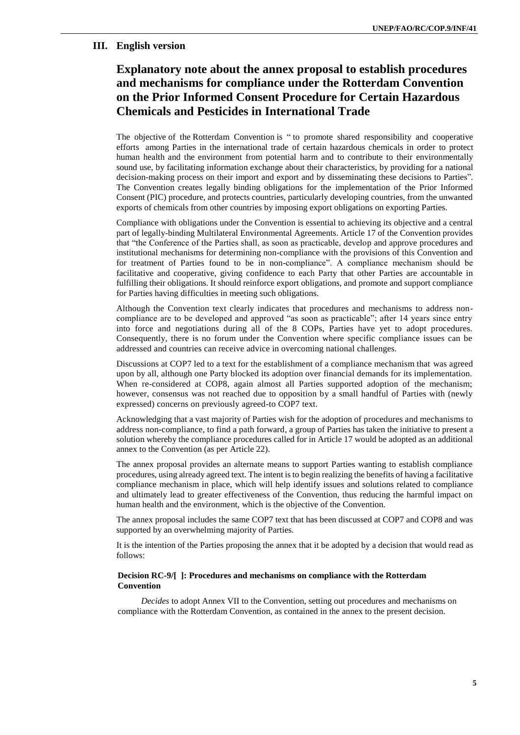#### **III. English version**

# **Explanatory note about the annex proposal to establish procedures and mechanisms for compliance under the Rotterdam Convention on the Prior Informed Consent Procedure for Certain Hazardous Chemicals and Pesticides in International Trade**

The objective of the Rotterdam Convention is " to promote shared responsibility and cooperative efforts among Parties in the international trade of certain hazardous chemicals in order to protect human health and the environment from potential harm and to contribute to their environmentally sound use, by facilitating information exchange about their characteristics, by providing for a national decision-making process on their import and export and by disseminating these decisions to Parties". The Convention creates legally binding obligations for the implementation of the Prior Informed Consent (PIC) procedure, and protects countries, particularly developing countries, from the unwanted exports of chemicals from other countries by imposing export obligations on exporting Parties.

Compliance with obligations under the Convention is essential to achieving its objective and a central part of legally-binding Multilateral Environmental Agreements. Article 17 of the Convention provides that "the Conference of the Parties shall, as soon as practicable, develop and approve procedures and institutional mechanisms for determining non-compliance with the provisions of this Convention and for treatment of Parties found to be in non-compliance". A compliance mechanism should be facilitative and cooperative, giving confidence to each Party that other Parties are accountable in fulfilling their obligations. It should reinforce export obligations, and promote and support compliance for Parties having difficulties in meeting such obligations.

Although the Convention text clearly indicates that procedures and mechanisms to address noncompliance are to be developed and approved "as soon as practicable"; after 14 years since entry into force and negotiations during all of the 8 COPs, Parties have yet to adopt procedures. Consequently, there is no forum under the Convention where specific compliance issues can be addressed and countries can receive advice in overcoming national challenges.

Discussions at COP7 led to a text for the establishment of a compliance mechanism that was agreed upon by all, although one Party blocked its adoption over financial demands for its implementation. When re-considered at COP8, again almost all Parties supported adoption of the mechanism; however, consensus was not reached due to opposition by a small handful of Parties with (newly expressed) concerns on previously agreed-to COP7 text.

Acknowledging that a vast majority of Parties wish for the adoption of procedures and mechanisms to address non-compliance, to find a path forward, a group of Parties has taken the initiative to present a solution whereby the compliance procedures called for in Article 17 would be adopted as an additional annex to the Convention (as per Article 22).

The annex proposal provides an alternate means to support Parties wanting to establish compliance procedures, using already agreed text. The intent is to begin realizing the benefits of having a facilitative compliance mechanism in place, which will help identify issues and solutions related to compliance and ultimately lead to greater effectiveness of the Convention, thus reducing the harmful impact on human health and the environment, which is the objective of the Convention.

The annex proposal includes the same COP7 text that has been discussed at COP7 and COP8 and was supported by an overwhelming majority of Parties.

It is the intention of the Parties proposing the annex that it be adopted by a decision that would read as follows:

#### **Decision RC-9/[ ]: Procedures and mechanisms on compliance with the Rotterdam Convention**

*Decides* to adopt Annex VII to the Convention, setting out procedures and mechanisms on compliance with the Rotterdam Convention, as contained in the annex to the present decision.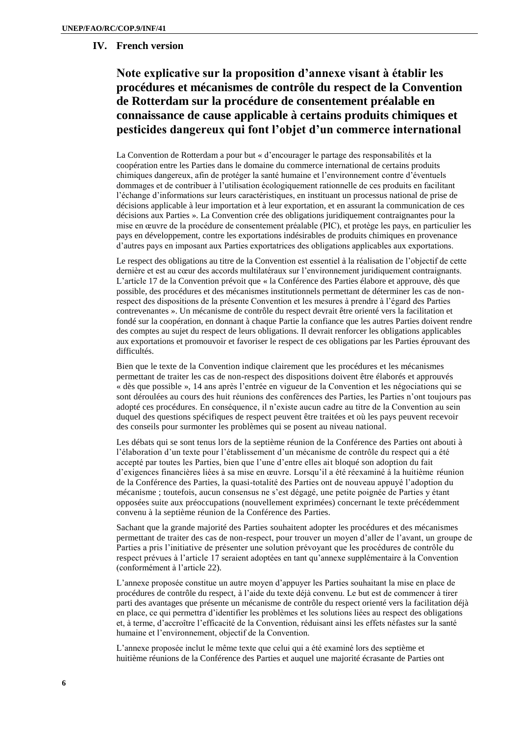### **IV. French version**

**Note explicative sur la proposition d'annexe visant à établir les procédures et mécanismes de contrôle du respect de la Convention de Rotterdam sur la procédure de consentement préalable en connaissance de cause applicable à certains produits chimiques et pesticides dangereux qui font l'objet d'un commerce international**

La Convention de Rotterdam a pour but « d'encourager le partage des responsabilités et la coopération entre les Parties dans le domaine du commerce international de certains produits chimiques dangereux, afin de protéger la santé humaine et l'environnement contre d'éventuels dommages et de contribuer à l'utilisation écologiquement rationnelle de ces produits en facilitant l'échange d'informations sur leurs caractéristiques, en instituant un processus national de prise de décisions applicable à leur importation et à leur exportation, et en assurant la communication de ces décisions aux Parties ». La Convention crée des obligations juridiquement contraignantes pour la mise en œuvre de la procédure de consentement préalable (PIC), et protège les pays, en particulier les pays en développement, contre les exportations indésirables de produits chimiques en provenance d'autres pays en imposant aux Parties exportatrices des obligations applicables aux exportations.

Le respect des obligations au titre de la Convention est essentiel à la réalisation de l'objectif de cette dernière et est au cœur des accords multilatéraux sur l'environnement juridiquement contraignants. L'article 17 de la Convention prévoit que « la Conférence des Parties élabore et approuve, dès que possible, des procédures et des mécanismes institutionnels permettant de déterminer les cas de nonrespect des dispositions de la présente Convention et les mesures à prendre à l'égard des Parties contrevenantes ». Un mécanisme de contrôle du respect devrait être orienté vers la facilitation et fondé sur la coopération, en donnant à chaque Partie la confiance que les autres Parties doivent rendre des comptes au sujet du respect de leurs obligations. Il devrait renforcer les obligations applicables aux exportations et promouvoir et favoriser le respect de ces obligations par les Parties éprouvant des difficultés.

Bien que le texte de la Convention indique clairement que les procédures et les mécanismes permettant de traiter les cas de non-respect des dispositions doivent être élaborés et approuvés « dès que possible », 14 ans après l'entrée en vigueur de la Convention et les négociations qui se sont déroulées au cours des huit réunions des conférences des Parties, les Parties n'ont toujours pas adopté ces procédures. En conséquence, il n'existe aucun cadre au titre de la Convention au sein duquel des questions spécifiques de respect peuvent être traitées et où les pays peuvent recevoir des conseils pour surmonter les problèmes qui se posent au niveau national.

Les débats qui se sont tenus lors de la septième réunion de la Conférence des Parties ont abouti à l'élaboration d'un texte pour l'établissement d'un mécanisme de contrôle du respect qui a été accepté par toutes les Parties, bien que l'une d'entre elles ait bloqué son adoption du fait d'exigences financières liées à sa mise en œuvre. Lorsqu'il a été réexaminé à la huitième réunion de la Conférence des Parties, la quasi-totalité des Parties ont de nouveau appuyé l'adoption du mécanisme ; toutefois, aucun consensus ne s'est dégagé, une petite poignée de Parties y étant opposées suite aux préoccupations (nouvellement exprimées) concernant le texte précédemment convenu à la septième réunion de la Conférence des Parties.

Sachant que la grande majorité des Parties souhaitent adopter les procédures et des mécanismes permettant de traiter des cas de non-respect, pour trouver un moyen d'aller de l'avant, un groupe de Parties a pris l'initiative de présenter une solution prévoyant que les procédures de contrôle du respect prévues à l'article 17 seraient adoptées en tant qu'annexe supplémentaire à la Convention (conformément à l'article 22).

L'annexe proposée constitue un autre moyen d'appuyer les Parties souhaitant la mise en place de procédures de contrôle du respect, à l'aide du texte déjà convenu. Le but est de commencer à tirer parti des avantages que présente un mécanisme de contrôle du respect orienté vers la facilitation déjà en place, ce qui permettra d'identifier les problèmes et les solutions liées au respect des obligations et, à terme, d'accroître l'efficacité de la Convention, réduisant ainsi les effets néfastes sur la santé humaine et l'environnement, objectif de la Convention.

L'annexe proposée inclut le même texte que celui qui a été examiné lors des septième et huitième réunions de la Conférence des Parties et auquel une majorité écrasante de Parties ont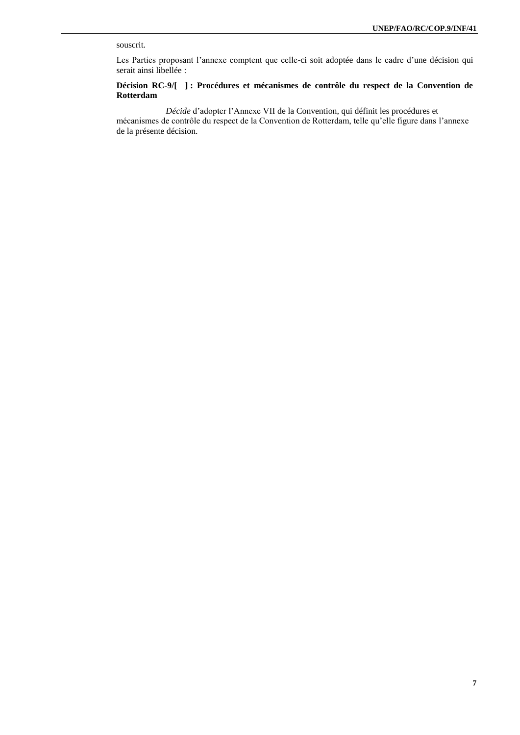#### souscrit.

Les Parties proposant l'annexe comptent que celle-ci soit adoptée dans le cadre d'une décision qui serait ainsi libellée :

#### **Décision RC-9/[ ] : Procédures et mécanismes de contrôle du respect de la Convention de Rotterdam**

*Décide* d'adopter l'Annexe VII de la Convention, qui définit les procédures et mécanismes de contrôle du respect de la Convention de Rotterdam, telle qu'elle figure dans l'annexe de la présente décision.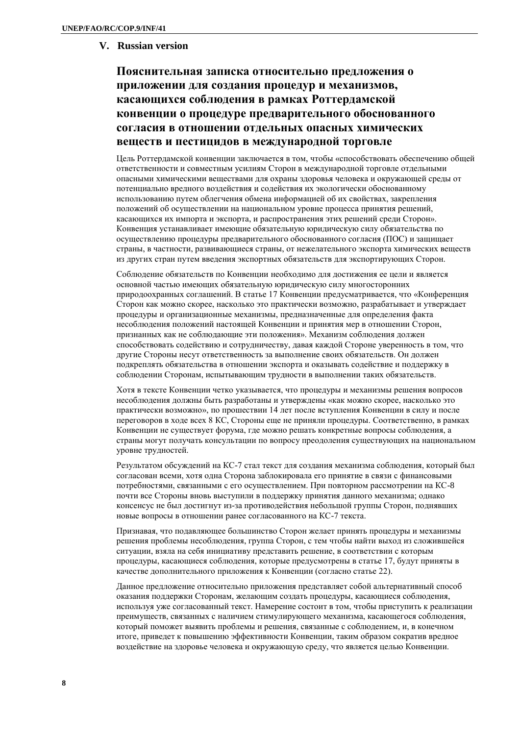### **V. Russian version**

# **Пояснительная записка относительно предложения о приложении для создания процедур и механизмов, касающихся соблюдения в рамках Роттердамской конвенции о процедуре предварительного обоснованного согласия в отношении отдельных опасных химических веществ и пестицидов в международной торговле**

Цель Роттердамской конвенции заключается в том, чтобы «способствовать обеспечению общей ответственности и совместным усилиям Сторон в международной торговле отдельными опасными химическими веществами для охраны здоровья человека и окружающей среды от потенциально вредного воздействия и содействия их экологически обоснованному использованию путем облегчения обмена информацией об их свойствах, закрепления положений об осуществлении на национальном уровне процесса принятия решений, касающихся их импорта и экспорта, и распространения этих решений среди Сторон». Конвенция устанавливает имеющие обязательную юридическую силу обязательства по осуществлению процедуры предварительного обоснованного согласия (ПОС) и защищает страны, в частности, развивающиеся страны, от нежелательного экспорта химических веществ из других стран путем введения экспортных обязательств для экспортирующих Сторон.

Соблюдение обязательств по Конвенции необходимо для достижения ее цели и является основной частью имеющих обязательную юридическую силу многосторонних природоохранных соглашений. В статье 17 Конвенции предусматривается, что «Конференция Сторон как можно скорее, насколько это практически возможно, разрабатывает и утверждает процедуры и организационные механизмы, предназначенные для определения факта несоблюдения положений настоящей Конвенции и принятия мер в отношении Сторон, признанных как не соблюдающие эти положения». Механизм соблюдения должен способствовать содействию и сотрудничеству, давая каждой Стороне уверенность в том, что другие Стороны несут ответственность за выполнение своих обязательств. Он должен подкреплять обязательства в отношении экспорта и оказывать содействие и поддержку в соблюдении Сторонам, испытывающим трудности в выполнении таких обязательств.

Хотя в тексте Конвенции четко указывается, что процедуры и механизмы решения вопросов несоблюдения должны быть разработаны и утверждены «как можно скорее, насколько это практически возможно», по прошествии 14 лет после вступления Конвенции в силу и после переговоров в ходе всех 8 КС, Стороны еще не приняли процедуры. Соответственно, в рамках Конвенции не существует форума, где можно решать конкретные вопросы соблюдения, а страны могут получать консультации по вопросу преодоления существующих на национальном уровне трудностей.

Результатом обсуждений на КС-7 стал текст для создания механизма соблюдения, который был согласован всеми, хотя одна Сторона заблокировала его принятие в связи с финансовыми потребностями, связанными с его осуществлением. При повторном рассмотрении на КС-8 почти все Стороны вновь выступили в поддержку принятия данного механизма; однако консенсус не был достигнут из-за противодействия небольшой группы Сторон, поднявших новые вопросы в отношении ранее согласованного на КС-7 текста.

Признавая, что подавляющее большинство Сторон желает принять процедуры и механизмы решения проблемы несоблюдения, группа Сторон, с тем чтобы найти выход из сложившейся ситуации, взяла на себя инициативу представить решение, в соответствии с которым процедуры, касающиеся соблюдения, которые предусмотрены в статье 17, будут приняты в качестве дополнительного приложения к Конвенции (согласно статье 22).

Данное предложение относительно приложения представляет собой альтернативный способ оказания поддержки Сторонам, желающим создать процедуры, касающиеся соблюдения, используя уже согласованный текст. Намерение состоит в том, чтобы приступить к реализации преимуществ, связанных с наличием стимулирующего механизма, касающегося соблюдения, который поможет выявить проблемы и решения, связанные с соблюдением, и, в конечном итоге, приведет к повышению эффективности Конвенции, таким образом сократив вредное воздействие на здоровье человека и окружающую среду, что является целью Конвенции.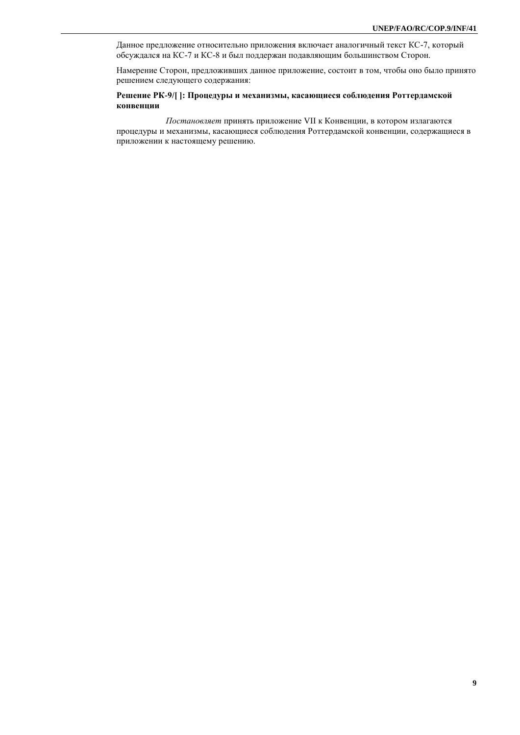Данное предложение относительно приложения включает аналогичный текст КС-7, который обсуждался на КС-7 и КС-8 и был поддержан подавляющим большинством Сторон.

Намерение Сторон, предложивших данное приложение, состоит в том, чтобы оно было принято решением следующего содержания:

#### **Решение РК-9/[ ]: Процедуры и механизмы, касающиеся соблюдения Роттердамской конвенции**

*Постановляет* принять приложение VII к Конвенции, в котором излагаются процедуры и механизмы, касающиеся соблюдения Роттердамской конвенции, содержащиеся в приложении к настоящему решению.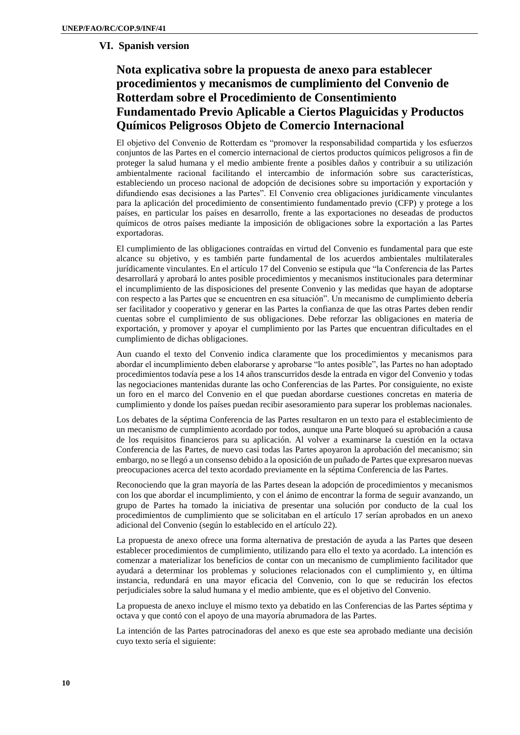### **VI. Spanish version**

# **Nota explicativa sobre la propuesta de anexo para establecer procedimientos y mecanismos de cumplimiento del Convenio de Rotterdam sobre el Procedimiento de Consentimiento Fundamentado Previo Aplicable a Ciertos Plaguicidas y Productos Químicos Peligrosos Objeto de Comercio Internacional**

El objetivo del Convenio de Rotterdam es "promover la responsabilidad compartida y los esfuerzos conjuntos de las Partes en el comercio internacional de ciertos productos químicos peligrosos a fin de proteger la salud humana y el medio ambiente frente a posibles daños y contribuir a su utilización ambientalmente racional facilitando el intercambio de información sobre sus características, estableciendo un proceso nacional de adopción de decisiones sobre su importación y exportación y difundiendo esas decisiones a las Partes". El Convenio crea obligaciones jurídicamente vinculantes para la aplicación del procedimiento de consentimiento fundamentado previo (CFP) y protege a los países, en particular los países en desarrollo, frente a las exportaciones no deseadas de productos químicos de otros países mediante la imposición de obligaciones sobre la exportación a las Partes exportadoras.

El cumplimiento de las obligaciones contraídas en virtud del Convenio es fundamental para que este alcance su objetivo, y es también parte fundamental de los acuerdos ambientales multilaterales jurídicamente vinculantes. En el artículo 17 del Convenio se estipula que "la Conferencia de las Partes desarrollará y aprobará lo antes posible procedimientos y mecanismos institucionales para determinar el incumplimiento de las disposiciones del presente Convenio y las medidas que hayan de adoptarse con respecto a las Partes que se encuentren en esa situación". Un mecanismo de cumplimiento debería ser facilitador y cooperativo y generar en las Partes la confianza de que las otras Partes deben rendir cuentas sobre el cumplimiento de sus obligaciones. Debe reforzar las obligaciones en materia de exportación, y promover y apoyar el cumplimiento por las Partes que encuentran dificultades en el cumplimiento de dichas obligaciones.

Aun cuando el texto del Convenio indica claramente que los procedimientos y mecanismos para abordar el incumplimiento deben elaborarse y aprobarse "lo antes posible", las Partes no han adoptado procedimientos todavía pese a los 14 años transcurridos desde la entrada en vigor del Convenio y todas las negociaciones mantenidas durante las ocho Conferencias de las Partes. Por consiguiente, no existe un foro en el marco del Convenio en el que puedan abordarse cuestiones concretas en materia de cumplimiento y donde los países puedan recibir asesoramiento para superar los problemas nacionales.

Los debates de la séptima Conferencia de las Partes resultaron en un texto para el establecimiento de un mecanismo de cumplimiento acordado por todos, aunque una Parte bloqueó su aprobación a causa de los requisitos financieros para su aplicación. Al volver a examinarse la cuestión en la octava Conferencia de las Partes, de nuevo casi todas las Partes apoyaron la aprobación del mecanismo; sin embargo, no se llegó a un consenso debido a la oposición de un puñado de Partes que expresaron nuevas preocupaciones acerca del texto acordado previamente en la séptima Conferencia de las Partes.

Reconociendo que la gran mayoría de las Partes desean la adopción de procedimientos y mecanismos con los que abordar el incumplimiento, y con el ánimo de encontrar la forma de seguir avanzando, un grupo de Partes ha tomado la iniciativa de presentar una solución por conducto de la cual los procedimientos de cumplimiento que se solicitaban en el artículo 17 serían aprobados en un anexo adicional del Convenio (según lo establecido en el artículo 22).

La propuesta de anexo ofrece una forma alternativa de prestación de ayuda a las Partes que deseen establecer procedimientos de cumplimiento, utilizando para ello el texto ya acordado. La intención es comenzar a materializar los beneficios de contar con un mecanismo de cumplimiento facilitador que ayudará a determinar los problemas y soluciones relacionados con el cumplimiento y, en última instancia, redundará en una mayor eficacia del Convenio, con lo que se reducirán los efectos perjudiciales sobre la salud humana y el medio ambiente, que es el objetivo del Convenio.

La propuesta de anexo incluye el mismo texto ya debatido en las Conferencias de las Partes séptima y octava y que contó con el apoyo de una mayoría abrumadora de las Partes.

La intención de las Partes patrocinadoras del anexo es que este sea aprobado mediante una decisión cuyo texto sería el siguiente: